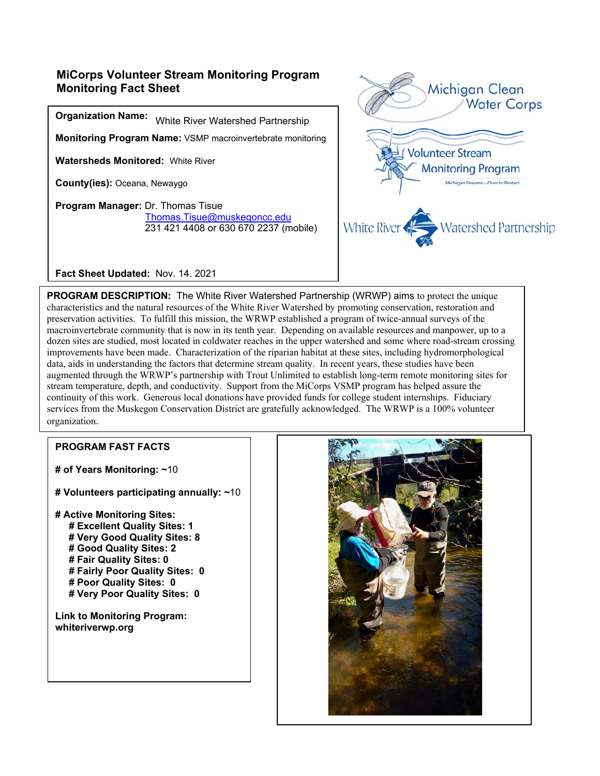## **MiCorps Volunteer Stream Monitoring Program Monitoring Fact Sheet**

**Organization Name:**  White River Watershed Partnership

**Monitoring Program Name:** VSMP macroinvertebrate monitoring

**Watersheds Monitored:** White River

**County(ies):** Oceana, Newaygo

**Program Manager:** Dr. Thomas Tisue Thomas.Tisue@muskegoncc.edu 231 421 4408 or 630 670 2237 (mobile)



**Fact Sheet Updated:** Nov. 14, 2021

**PROGRAM DESCRIPTION:** The White River Watershed Partnership (WRWP) aims to protect the unique characteristics and the natural resources of the White River Watershed by promoting conservation, restoration and preservation activities. To fulfill this mission, the WRWP established a program of twice-annual surveys of the macroinvertebrate community that is now in its tenth year. Depending on available resources and manpower, up to a dozen sites are studied, most located in coldwater reaches in the upper watershed and some where road-stream crossing improvements have been made. Characterization of the riparian habitat at these sites, including hydromorphological data, aids in understanding the factors that determine stream quality. In recent years, these studies have been augmented through the WRWP's partnership with Trout Unlimited to establish long-term remote monitoring sites for stream temperature, depth, and conductivity. Support from the MiCorps VSMP program has helped assure the continuity of this work. Generous local donations have provided funds for college student internships. Fiduciary services from the Muskegon Conservation District are gratefully acknowledged. The WRWP is a 100% volunteer organization.

#### **PROGRAM FAST FACTS**

**# of Years Monitoring: ~**10

- **# Volunteers participating annually: ~**10
- **# Active Monitoring Sites: # Excellent Quality Sites: 1 # Very Good Quality Sites: 8 # Good Quality Sites: 2 # Fair Quality Sites: 0 # Fairly Poor Quality Sites: 0 # Poor Quality Sites: 0 # Very Poor Quality Sites: 0**

**Link to Monitoring Program: whiteriverwp.org**